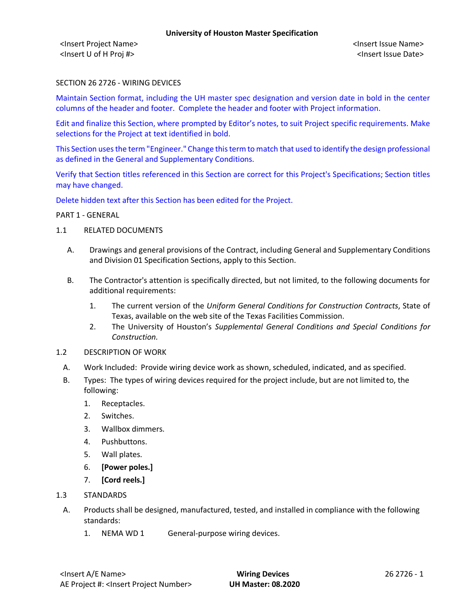### SECTION 26 2726 - WIRING DEVICES

Maintain Section format, including the UH master spec designation and version date in bold in the center columns of the header and footer. Complete the header and footer with Project information.

Edit and finalize this Section, where prompted by Editor's notes, to suit Project specific requirements. Make selections for the Project at text identified in bold.

This Section uses the term "Engineer." Change this term to match that used to identify the design professional as defined in the General and Supplementary Conditions.

Verify that Section titles referenced in this Section are correct for this Project's Specifications; Section titles may have changed.

Delete hidden text after this Section has been edited for the Project.

PART 1 - GENERAL

- 1.1 RELATED DOCUMENTS
	- A. Drawings and general provisions of the Contract, including General and Supplementary Conditions and Division 01 Specification Sections, apply to this Section.
	- B. The Contractor's attention is specifically directed, but not limited, to the following documents for additional requirements:
		- 1. The current version of the *Uniform General Conditions for Construction Contracts*, State of Texas, available on the web site of the Texas Facilities Commission.
		- 2. The University of Houston's *Supplemental General Conditions and Special Conditions for Construction.*
- 1.2 DESCRIPTION OF WORK
	- A. Work Included: Provide wiring device work as shown, scheduled, indicated, and as specified.
	- B. Types: The types of wiring devices required for the project include, but are not limited to, the following:
		- 1. Receptacles.
		- 2. Switches.
		- 3. Wallbox dimmers.
		- 4. Pushbuttons.
		- 5. Wall plates.
		- 6. **[Power poles.]**
		- 7. **[Cord reels.]**
- 1.3 STANDARDS
- A. Products shall be designed, manufactured, tested, and installed in compliance with the following standards:
	- 1. NEMA WD 1 General-purpose wiring devices.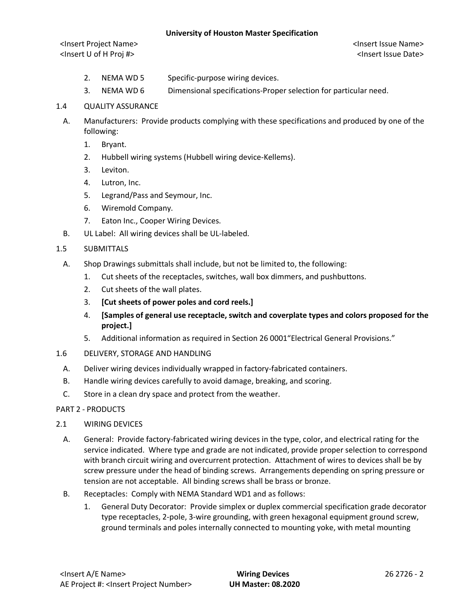<Insert Project Name> <Insert Issue Name> <Insert U of H Proj #> <Insert Issue Date>

- 2. NEMA WD 5 Specific-purpose wiring devices.
- 3. NEMA WD 6 Dimensional specifications-Proper selection for particular need.

### 1.4 QUALITY ASSURANCE

- A. Manufacturers: Provide products complying with these specifications and produced by one of the following:
	- 1. Bryant.
	- 2. Hubbell wiring systems (Hubbell wiring device-Kellems).
	- 3. Leviton.
	- 4. Lutron, Inc.
	- 5. Legrand/Pass and Seymour, Inc.
	- 6. Wiremold Company.
	- 7. Eaton Inc., Cooper Wiring Devices.
- B. UL Label: All wiring devices shall be UL-labeled.

## 1.5 SUBMITTALS

- A. Shop Drawings submittals shall include, but not be limited to, the following:
	- 1. Cut sheets of the receptacles, switches, wall box dimmers, and pushbuttons.
	- 2. Cut sheets of the wall plates.
	- 3. **[Cut sheets of power poles and cord reels.]**
	- 4. **[Samples of general use receptacle, switch and coverplate types and colors proposed for the project.]**
	- 5. Additional information as required in Section 26 0001"Electrical General Provisions."
- 1.6 DELIVERY, STORAGE AND HANDLING
	- A. Deliver wiring devices individually wrapped in factory-fabricated containers.
	- B. Handle wiring devices carefully to avoid damage, breaking, and scoring.
	- C. Store in a clean dry space and protect from the weather.

## PART 2 - PRODUCTS

- 2.1 WIRING DEVICES
	- A. General: Provide factory-fabricated wiring devices in the type, color, and electrical rating for the service indicated. Where type and grade are not indicated, provide proper selection to correspond with branch circuit wiring and overcurrent protection. Attachment of wires to devices shall be by screw pressure under the head of binding screws. Arrangements depending on spring pressure or tension are not acceptable. All binding screws shall be brass or bronze.
	- B. Receptacles: Comply with NEMA Standard WD1 and as follows:
		- 1. General Duty Decorator: Provide simplex or duplex commercial specification grade decorator type receptacles, 2-pole, 3-wire grounding, with green hexagonal equipment ground screw, ground terminals and poles internally connected to mounting yoke, with metal mounting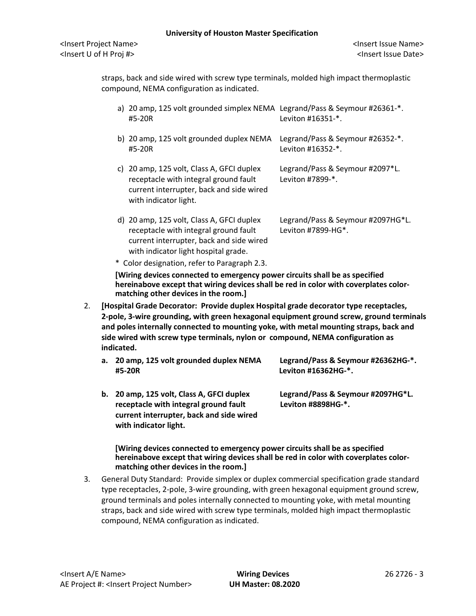straps, back and side wired with screw type terminals, molded high impact thermoplastic compound, NEMA configuration as indicated.

| a) 20 amp, 125 volt grounded simplex NEMA Legrand/Pass & Seymour #26361-*.<br>#5-20R | Leviton #16351-*.               |
|--------------------------------------------------------------------------------------|---------------------------------|
| b) 20 amp, 125 volt grounded duplex NEMA Legrand/Pass & Seymour #26352-*.<br>#5-20R  | Leviton #16352-*.               |
| c) 20 amp, 125 volt, Class A, GFCI duplex                                            | Legrand/Pass & Seymour #2097*L. |

| C) 20 amp, 125 VOIt, Class A, GFCI duplex | Legrand/Pass & Seymour #2097"L |
|-------------------------------------------|--------------------------------|
| receptacle with integral ground fault     | Leviton #7899-*.               |
| current interrupter, back and side wired  |                                |
| with indicator light.                     |                                |

- d) 20 amp, 125 volt, Class A, GFCI duplex Legrand/Pass & Seymour #2097HG\*L. receptacle with integral ground fault Leviton #7899-HG<sup>\*</sup>. current interrupter, back and side wired with indicator light hospital grade.
- \* Color designation, refer to Paragraph 2.3.

**[Wiring devices connected to emergency power circuits shall be as specified hereinabove except that wiring devices shall be red in color with coverplates colormatching other devices in the room.]**

- 2. **[Hospital Grade Decorator: Provide duplex Hospital grade decorator type receptacles, 2-pole, 3-wire grounding, with green hexagonal equipment ground screw, ground terminals and poles internally connected to mounting yoke, with metal mounting straps, back and side wired with screw type terminals, nylon or compound, NEMA configuration as indicated.**
	- **a. 20 amp, 125 volt grounded duplex NEMA Legrand/Pass & Seymour #26362HG-\*. #5-20R Leviton #16362HG-\*.**
	- **receptacle with integral ground fault Leviton #8898HG-\*. current interrupter, back and side wired with indicator light.**

**b. 20 amp, 125 volt, Class A, GFCI duplex Legrand/Pass & Seymour #2097HG\*L.** 

**[Wiring devices connected to emergency power circuits shall be as specified hereinabove except that wiring devices shall be red in color with coverplates colormatching other devices in the room.]**

3. General Duty Standard: Provide simplex or duplex commercial specification grade standard type receptacles, 2-pole, 3-wire grounding, with green hexagonal equipment ground screw, ground terminals and poles internally connected to mounting yoke, with metal mounting straps, back and side wired with screw type terminals, molded high impact thermoplastic compound, NEMA configuration as indicated.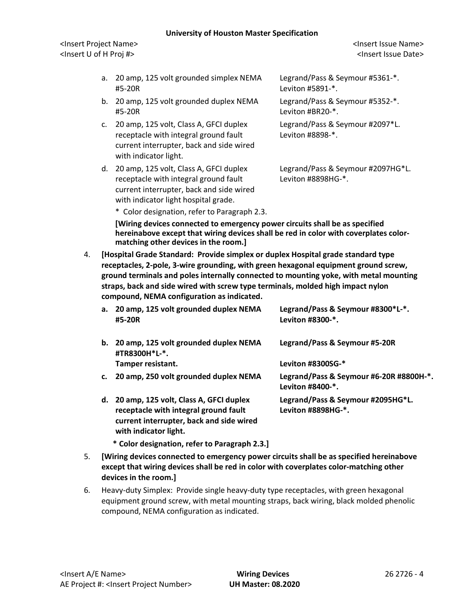<Insert Project Name> <Insert Issue Name> <Insert U of H Proj #> <Insert Issue Date>

- a. 20 amp, 125 volt grounded simplex NEMA Legrand/Pass & Seymour #5361-\*. #5-20R Leviton #5891-\*.
- b. 20 amp, 125 volt grounded duplex NEMA Legrand/Pass & Seymour #5352-\*. #5-20R Leviton #BR20-\*.
- c. 20 amp, 125 volt, Class A, GFCI duplex Legrand/Pass & Seymour #2097\*L. receptacle with integral ground fault Leviton #8898-\*. current interrupter, back and side wired with indicator light.
- d. 20 amp, 125 volt, Class A, GFCI duplex Legrand/Pass & Seymour #2097HG\*L. receptacle with integral ground fault Leviton #8898HG-\*. current interrupter, back and side wired with indicator light hospital grade.

\* Color designation, refer to Paragraph 2.3.

**[Wiring devices connected to emergency power circuits shall be as specified hereinabove except that wiring devices shall be red in color with coverplates colormatching other devices in the room.]**

4. **[Hospital Grade Standard: Provide simplex or duplex Hospital grade standard type receptacles, 2-pole, 3-wire grounding, with green hexagonal equipment ground screw, ground terminals and poles internally connected to mounting yoke, with metal mounting straps, back and side wired with screw type terminals, molded high impact nylon compound, NEMA configuration as indicated.**

| а. | 20 amp, 125 volt grounded duplex NEMA<br>#5-20R                                                                                                      | Legrand/Pass & Seymour #8300*L-*.<br>Leviton #8300-*.       |
|----|------------------------------------------------------------------------------------------------------------------------------------------------------|-------------------------------------------------------------|
| b. | 20 amp, 125 volt grounded duplex NEMA<br>#TR8300H*L-*.                                                                                               | Legrand/Pass & Seymour #5-20R                               |
|    | Tamper resistant.                                                                                                                                    | Leviton #8300SG-*                                           |
| C. | 20 amp, 250 volt grounded duplex NEMA                                                                                                                | Legrand/Pass & Seymour #6-20R #8800H-*.<br>Leviton #8400-*. |
| d. | 20 amp, 125 volt, Class A, GFCI duplex<br>receptacle with integral ground fault<br>current interrupter, back and side wired<br>with indicator light. | Legrand/Pass & Seymour #2095HG*L.<br>Leviton #8898HG-*.     |

- **\* Color designation, refer to Paragraph 2.3.]**
- 5. **[Wiring devices connected to emergency power circuits shall be as specified hereinabove except that wiring devices shall be red in color with coverplates color-matching other devices in the room.]**
- 6. Heavy-duty Simplex: Provide single heavy-duty type receptacles, with green hexagonal equipment ground screw, with metal mounting straps, back wiring, black molded phenolic compound, NEMA configuration as indicated.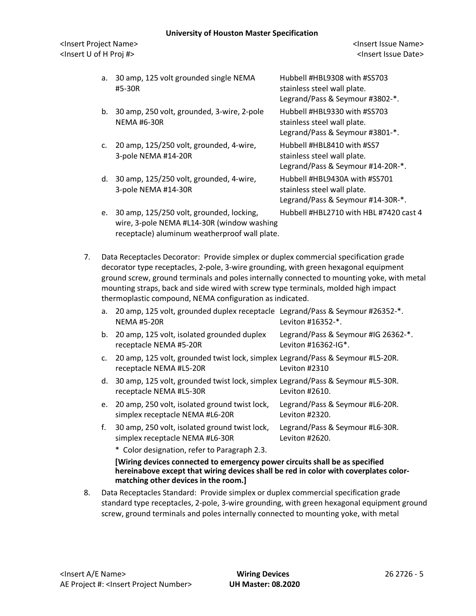<Insert Project Name> <Insert Issue Name> <Insert U of H Proj #> <Insert Issue Date>

- a. 30 amp, 125 volt grounded single NEMA Hubbell #HBL9308 with #SS703 #5-30R stainless steel wall plate.
- b. 30 amp, 250 volt, grounded, 3-wire, 2-pole Hubbell #HBL9330 with #SS703 NEMA #6-30R stainless steel wall plate.
- c. 20 amp, 125/250 volt, grounded, 4-wire, Hubbell #HBL8410 with #SS7 3-pole NEMA #14-20R stainless steel wall plate.
- d. 30 amp, 125/250 volt, grounded, 4-wire, Hubbell #HBL9430A with #SS701 3-pole NEMA #14-30R stainless steel wall plate.
- e. 30 amp, 125/250 volt, grounded, locking, Hubbell #HBL2710 with HBL #7420 cast 4 wire, 3-pole NEMA #L14-30R (window washing receptacle) aluminum weatherproof wall plate.

 Legrand/Pass & Seymour #3802-\*. Legrand/Pass & Seymour #3801-\*. Legrand/Pass & Seymour #14-20R-\*. Legrand/Pass & Seymour #14-30R-\*.

7. Data Receptacles Decorator: Provide simplex or duplex commercial specification grade decorator type receptacles, 2-pole, 3-wire grounding, with green hexagonal equipment ground screw, ground terminals and poles internally connected to mounting yoke, with metal mounting straps, back and side wired with screw type terminals, molded high impact thermoplastic compound, NEMA configuration as indicated.

| a. 20 amp, 125 volt, grounded duplex receptacle Legrand/Pass & Seymour #26352-*.<br><b>NEMA #5-20R</b> | Leviton #16352-*.                   |
|--------------------------------------------------------------------------------------------------------|-------------------------------------|
| b. 20 amp, 125 volt, isolated grounded duplex                                                          | Legrand/Pass & Seymour #IG 26362-*. |
| receptacle NEMA #5-20R                                                                                 | Leviton #16362-IG*.                 |

- c. 20 amp, 125 volt, grounded twist lock, simplex Legrand/Pass & Seymour #L5-20R. receptacle NEMA #L5-20R Leviton #2310
- d. 30 amp, 125 volt, grounded twist lock, simplex Legrand/Pass & Seymour #L5-30R. receptacle NEMA #L5-30R Leviton #2610.
- e. 20 amp, 250 volt, isolated ground twist lock, Legrand/Pass & Seymour #L6-20R. simplex receptacle NEMA #L6-20R Leviton #2320.
- f. 30 amp, 250 volt, isolated ground twist lock, Legrand/Pass & Seymour #L6-30R. simplex receptacle NEMA #L6-30R Leviton #2620.
	- \* Color designation, refer to Paragraph 2.3.

## **[Wiring devices connected to emergency power circuits shall be as specified hereinabove except that wiring devices shall be red in color with coverplates colormatching other devices in the room.]**

8. Data Receptacles Standard: Provide simplex or duplex commercial specification grade standard type receptacles, 2-pole, 3-wire grounding, with green hexagonal equipment ground screw, ground terminals and poles internally connected to mounting yoke, with metal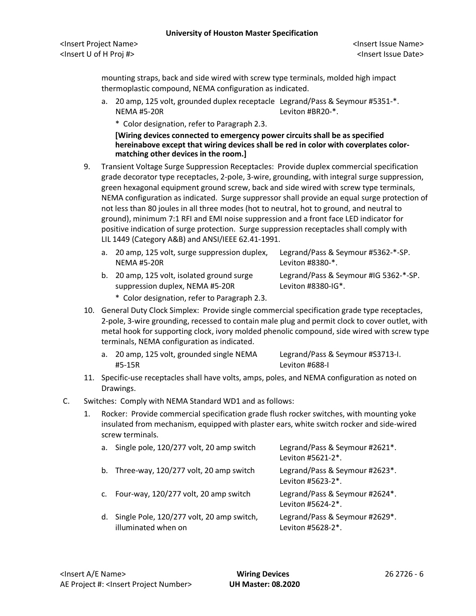<Insert Project Name> <Insert Issue Name> <Insert U of H Proj #> <Insert Issue Date>

mounting straps, back and side wired with screw type terminals, molded high impact thermoplastic compound, NEMA configuration as indicated.

- a. 20 amp, 125 volt, grounded duplex receptacle Legrand/Pass & Seymour #5351-\*. NEMA #5-20R Leviton #BR20-\*.
	- \* Color designation, refer to Paragraph 2.3.

**[Wiring devices connected to emergency power circuits shall be as specified hereinabove except that wiring devices shall be red in color with coverplates colormatching other devices in the room.]**

- 9. Transient Voltage Surge Suppression Receptacles: Provide duplex commercial specification grade decorator type receptacles, 2-pole, 3-wire, grounding, with integral surge suppression, green hexagonal equipment ground screw, back and side wired with screw type terminals, NEMA configuration as indicated. Surge suppressor shall provide an equal surge protection of not less than 80 joules in all three modes (hot to neutral, hot to ground, and neutral to ground), minimum 7:1 RFI and EMI noise suppression and a front face LED indicator for positive indication of surge protection. Surge suppression receptacles shall comply with LIL 1449 (Category A&B) and ANSI/IEEE 62.41-1991.
	- a. 20 amp, 125 volt, surge suppression duplex, Legrand/Pass & Seymour #5362-\*-SP. NEMA #5-20R Leviton #8380-\*. b. 20 amp, 125 volt, isolated ground surge Legrand/Pass & Seymour #IG 5362-\*-SP.
	- suppression duplex, NEMA #5-20R Leviton #8380-IG\*.
- - \* Color designation, refer to Paragraph 2.3.
- 10. General Duty Clock Simplex: Provide single commercial specification grade type receptacles, 2-pole, 3-wire grounding, recessed to contain male plug and permit clock to cover outlet, with metal hook for supporting clock, ivory molded phenolic compound, side wired with screw type terminals, NEMA configuration as indicated.
	- a. 20 amp, 125 volt, grounded single NEMA Legrand/Pass & Seymour #S3713-I. #5-15R Leviton #688-I
- 11. Specific-use receptacles shall have volts, amps, poles, and NEMA configuration as noted on Drawings.
- C. Switches: Comply with NEMA Standard WD1 and as follows:
	- 1. Rocker: Provide commercial specification grade flush rocker switches, with mounting yoke insulated from mechanism, equipped with plaster ears, white switch rocker and side-wired screw terminals.

|    | a. Single pole, 120/277 volt, 20 amp switch                      | Legrand/Pass & Seymour #2621*.<br>Leviton #5621-2*. |
|----|------------------------------------------------------------------|-----------------------------------------------------|
| b. | Three-way, 120/277 volt, 20 amp switch                           | Legrand/Pass & Seymour #2623*.<br>Leviton #5623-2*. |
|    | c. Four-way, 120/277 volt, 20 amp switch                         | Legrand/Pass & Seymour #2624*.<br>Leviton #5624-2*. |
| d. | Single Pole, 120/277 volt, 20 amp switch,<br>illuminated when on | Legrand/Pass & Seymour #2629*.<br>Leviton #5628-2*. |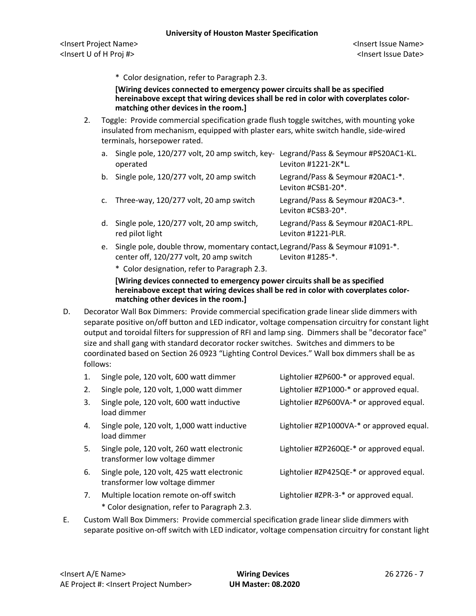\* Color designation, refer to Paragraph 2.3.

**[Wiring devices connected to emergency power circuits shall be as specified hereinabove except that wiring devices shall be red in color with coverplates colormatching other devices in the room.]**

2. Toggle: Provide commercial specification grade flush toggle switches, with mounting yoke insulated from mechanism, equipped with plaster ears, white switch handle, side-wired terminals, horsepower rated.

|                | a. Single pole, 120/277 volt, 20 amp switch, key- Legrand/Pass & Seymour #PS20AC1-KL.<br>operated | Leviton #1221-2K*L.                                      |
|----------------|---------------------------------------------------------------------------------------------------|----------------------------------------------------------|
|                | b. Single pole, 120/277 volt, 20 amp switch                                                       | Legrand/Pass & Seymour #20AC1-*.<br>Leviton #CSB1-20*.   |
| $\mathsf{C}$ . | Three-way, 120/277 volt, 20 amp switch                                                            | Legrand/Pass & Seymour #20AC3-*.<br>Leviton #CSB3-20*.   |
| d.             | Single pole, 120/277 volt, 20 amp switch,<br>red pilot light                                      | Legrand/Pass & Seymour #20AC1-RPL.<br>Leviton #1221-PLR. |
| e.             | Single pole, double throw, momentary contact, Legrand/Pass & Seymour #1091-*.                     |                                                          |

center off, 120/277 volt, 20 amp switch Leviton #1285-\*.

\* Color designation, refer to Paragraph 2.3.

# **[Wiring devices connected to emergency power circuits shall be as specified hereinabove except that wiring devices shall be red in color with coverplates colormatching other devices in the room.]**

D. Decorator Wall Box Dimmers: Provide commercial specification grade linear slide dimmers with separate positive on/off button and LED indicator, voltage compensation circuitry for constant light output and toroidal filters for suppression of RFI and lamp sing. Dimmers shall be "decorator face" size and shall gang with standard decorator rocker switches. Switches and dimmers to be coordinated based on Section 26 0923 "Lighting Control Devices." Wall box dimmers shall be as follows:

| 1. | Single pole, 120 volt, 600 watt dimmer                                                 | Lightolier #ZP600-* or approved equal.    |
|----|----------------------------------------------------------------------------------------|-------------------------------------------|
| 2. | Single pole, 120 volt, 1,000 watt dimmer                                               | Lightolier #ZP1000-* or approved equal.   |
| 3. | Single pole, 120 volt, 600 watt inductive<br>load dimmer                               | Lightolier #ZP600VA-* or approved equal.  |
| 4. | Single pole, 120 volt, 1,000 watt inductive<br>load dimmer                             | Lightolier #ZP1000VA-* or approved equal. |
| 5. | Single pole, 120 volt, 260 watt electronic<br>transformer low voltage dimmer           | Lightolier #ZP260QE-* or approved equal.  |
| 6. | Single pole, 120 volt, 425 watt electronic<br>transformer low voltage dimmer           | Lightolier #ZP425QE-* or approved equal.  |
| 7. | Multiple location remote on-off switch<br>* Color designation, refer to Paragraph 2.3. | Lightolier #ZPR-3-* or approved equal.    |

E. Custom Wall Box Dimmers: Provide commercial specification grade linear slide dimmers with separate positive on-off switch with LED indicator, voltage compensation circuitry for constant light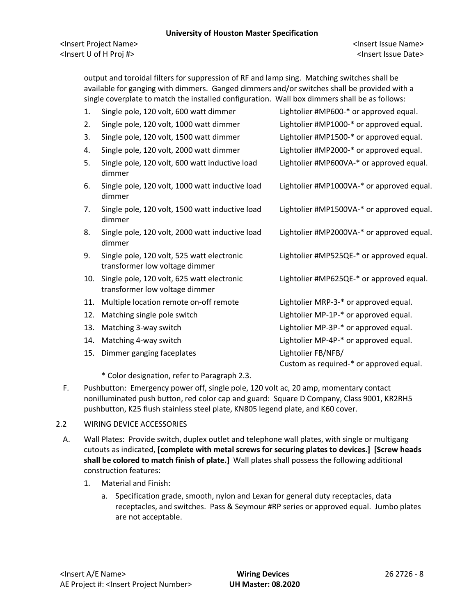<Insert Project Name> <Insert Issue Name> <Insert U of H Proj #> <Insert Issue Date>

output and toroidal filters for suppression of RF and lamp sing. Matching switches shall be available for ganging with dimmers. Ganged dimmers and/or switches shall be provided with a single coverplate to match the installed configuration. Wall box dimmers shall be as follows:

1. Single pole, 120 volt, 600 watt dimmer Lightolier #MP600-\* or approved equal. 2. Single pole, 120 volt, 1000 watt dimmer Lightolier #MP1000-\* or approved equal. 3. Single pole, 120 volt, 1500 watt dimmer Lightolier #MP1500-\* or approved equal. 4. Single pole, 120 volt, 2000 watt dimmer Lightolier #MP2000-\* or approved equal. 5. Single pole, 120 volt, 600 watt inductive load Lightolier #MP600VA-\* or approved equal. dimmer 6. Single pole, 120 volt, 1000 watt inductive load Lightolier #MP1000VA-\* or approved equal. dimmer 7. Single pole, 120 volt, 1500 watt inductive load Lightolier #MP1500VA-\* or approved equal. dimmer 8. Single pole, 120 volt, 2000 watt inductive load Lightolier #MP2000VA-\* or approved equal. dimmer 9. Single pole, 120 volt, 525 watt electronic Lightolier #MP525QE-\* or approved equal. transformer low voltage dimmer 10. Single pole, 120 volt, 625 watt electronic Lightolier #MP625QE-\* or approved equal. transformer low voltage dimmer 11. Multiple location remote on-off remote Lightolier MRP-3-\* or approved equal. 12. Matching single pole switch **Lightolier MP-1P-\*** or approved equal. 13. Matching 3-way switch **Lightolier MP-3P-\*** or approved equal. 14. Matching 4-way switch Lightolier MP-4P-\* or approved equal. 15. Dimmer ganging faceplates Lightolier FB/NFB/ Custom as required-\* or approved equal.

\* Color designation, refer to Paragraph 2.3.

F. Pushbutton: Emergency power off, single pole, 120 volt ac, 20 amp, momentary contact nonilluminated push button, red color cap and guard: Square D Company, Class 9001, KR2RH5 pushbutton, K25 flush stainless steel plate, KN805 legend plate, and K60 cover.

## 2.2 WIRING DEVICE ACCESSORIES

- A. Wall Plates: Provide switch, duplex outlet and telephone wall plates, with single or multigang cutouts as indicated, **[complete with metal screws for securing plates to devices.] [Screw heads shall be colored to match finish of plate.]** Wall plates shall possess the following additional construction features:
	- 1. Material and Finish:
		- a. Specification grade, smooth, nylon and Lexan for general duty receptacles, data receptacles, and switches. Pass & Seymour #RP series or approved equal. Jumbo plates are not acceptable.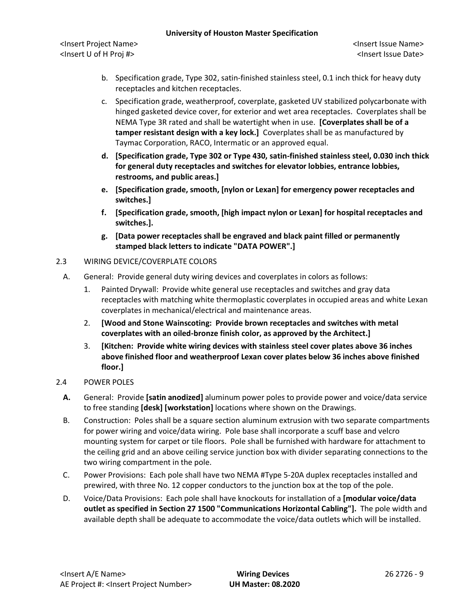<Insert Project Name> <Insert Issue Name> <Insert U of H Proj #> <Insert Issue Date>

- b. Specification grade, Type 302, satin-finished stainless steel, 0.1 inch thick for heavy duty receptacles and kitchen receptacles.
- c. Specification grade, weatherproof, coverplate, gasketed UV stabilized polycarbonate with hinged gasketed device cover, for exterior and wet area receptacles. Coverplates shall be NEMA Type 3R rated and shall be watertight when in use. **[Coverplates shall be of a tamper resistant design with a key lock.]** Coverplates shall be as manufactured by Taymac Corporation, RACO, Intermatic or an approved equal.
- **d. [Specification grade, Type 302 or Type 430, satin-finished stainless steel, 0.030 inch thick for general duty receptacles and switches for elevator lobbies, entrance lobbies, restrooms, and public areas.]**
- **e. [Specification grade, smooth, [nylon or Lexan] for emergency power receptacles and switches.]**
- **f. [Specification grade, smooth, [high impact nylon or Lexan] for hospital receptacles and switches.].**
- **g. [Data power receptacles shall be engraved and black paint filled or permanently stamped black letters to indicate "DATA POWER".]**
- 2.3 WIRING DEVICE/COVERPLATE COLORS
	- A. General: Provide general duty wiring devices and coverplates in colors as follows:
		- 1. Painted Drywall: Provide white general use receptacles and switches and gray data receptacles with matching white thermoplastic coverplates in occupied areas and white Lexan coverplates in mechanical/electrical and maintenance areas.
		- 2. **[Wood and Stone Wainscoting: Provide brown receptacles and switches with metal coverplates with an oiled-bronze finish color, as approved by the Architect.]**
		- 3. **[Kitchen: Provide white wiring devices with stainless steel cover plates above 36 inches above finished floor and weatherproof Lexan cover plates below 36 inches above finished floor.]**
- 2.4 POWER POLES
	- **A.** General: Provide **[satin anodized]** aluminum power poles to provide power and voice/data service to free standing **[desk] [workstation]** locations where shown on the Drawings.
	- B. Construction: Poles shall be a square section aluminum extrusion with two separate compartments for power wiring and voice/data wiring. Pole base shall incorporate a scuff base and velcro mounting system for carpet or tile floors. Pole shall be furnished with hardware for attachment to the ceiling grid and an above ceiling service junction box with divider separating connections to the two wiring compartment in the pole.
	- C. Power Provisions: Each pole shall have two NEMA #Type 5-20A duplex receptacles installed and prewired, with three No. 12 copper conductors to the junction box at the top of the pole.
	- D. Voice/Data Provisions: Each pole shall have knockouts for installation of a **[modular voice/data outlet as specified in Section 27 1500 "Communications Horizontal Cabling"].** The pole width and available depth shall be adequate to accommodate the voice/data outlets which will be installed.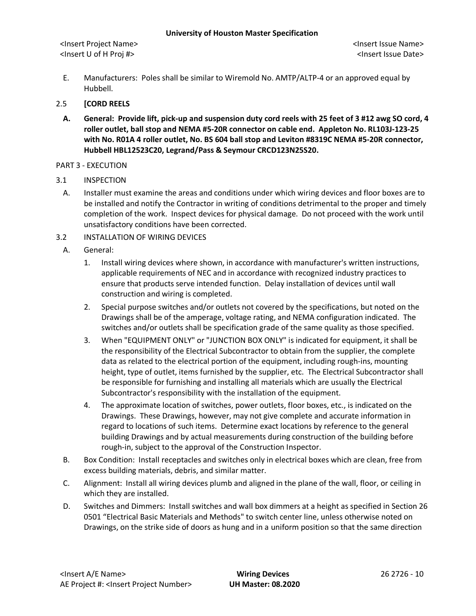E. Manufacturers: Poles shall be similar to Wiremold No. AMTP/ALTP-4 or an approved equal by Hubbell.

### 2.5 **[CORD REELS**

**A. General: Provide lift, pick-up and suspension duty cord reels with 25 feet of 3 #12 awg SO cord, 4 roller outlet, ball stop and NEMA #5-20R connector on cable end. Appleton No. RL103J-123-25 with No. R01A 4 roller outlet, No. BS 604 ball stop and Leviton #8319C NEMA #5-20R connector, Hubbell HBL12523C20, Legrand/Pass & Seymour CRCD123N25S20.**

#### PART 3 - EXECUTION

- 3.1 INSPECTION
	- A. Installer must examine the areas and conditions under which wiring devices and floor boxes are to be installed and notify the Contractor in writing of conditions detrimental to the proper and timely completion of the work. Inspect devices for physical damage. Do not proceed with the work until unsatisfactory conditions have been corrected.
- 3.2 INSTALLATION OF WIRING DEVICES
	- A. General:
		- 1. Install wiring devices where shown, in accordance with manufacturer's written instructions, applicable requirements of NEC and in accordance with recognized industry practices to ensure that products serve intended function. Delay installation of devices until wall construction and wiring is completed.
		- 2. Special purpose switches and/or outlets not covered by the specifications, but noted on the Drawings shall be of the amperage, voltage rating, and NEMA configuration indicated. The switches and/or outlets shall be specification grade of the same quality as those specified.
		- 3. When "EQUIPMENT ONLY" or "JUNCTION BOX ONLY" is indicated for equipment, it shall be the responsibility of the Electrical Subcontractor to obtain from the supplier, the complete data as related to the electrical portion of the equipment, including rough-ins, mounting height, type of outlet, items furnished by the supplier, etc. The Electrical Subcontractor shall be responsible for furnishing and installing all materials which are usually the Electrical Subcontractor's responsibility with the installation of the equipment.
		- 4. The approximate location of switches, power outlets, floor boxes, etc., is indicated on the Drawings. These Drawings, however, may not give complete and accurate information in regard to locations of such items. Determine exact locations by reference to the general building Drawings and by actual measurements during construction of the building before rough-in, subject to the approval of the Construction Inspector.
	- B. Box Condition: Install receptacles and switches only in electrical boxes which are clean, free from excess building materials, debris, and similar matter.
	- C. Alignment: Install all wiring devices plumb and aligned in the plane of the wall, floor, or ceiling in which they are installed.
	- D. Switches and Dimmers: Install switches and wall box dimmers at a height as specified in Section 26 0501 "Electrical Basic Materials and Methods" to switch center line, unless otherwise noted on Drawings, on the strike side of doors as hung and in a uniform position so that the same direction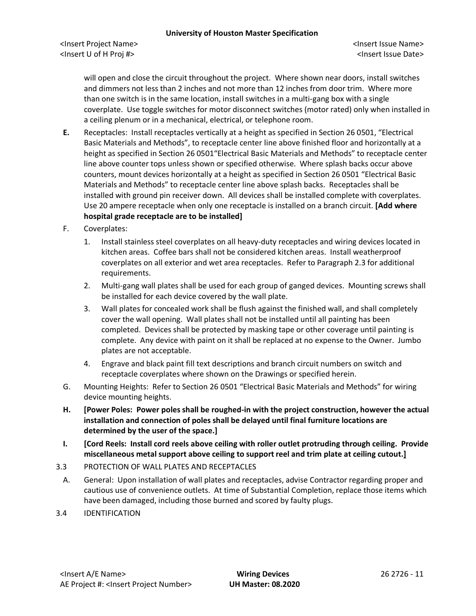will open and close the circuit throughout the project. Where shown near doors, install switches and dimmers not less than 2 inches and not more than 12 inches from door trim. Where more than one switch is in the same location, install switches in a multi-gang box with a single coverplate. Use toggle switches for motor disconnect switches (motor rated) only when installed in a ceiling plenum or in a mechanical, electrical, or telephone room.

- **E.** Receptacles: Install receptacles vertically at a height as specified in Section 26 0501, "Electrical Basic Materials and Methods", to receptacle center line above finished floor and horizontally at a height as specified in Section 26 0501"Electrical Basic Materials and Methods" to receptacle center line above counter tops unless shown or specified otherwise. Where splash backs occur above counters, mount devices horizontally at a height as specified in Section 26 0501 "Electrical Basic Materials and Methods" to receptacle center line above splash backs. Receptacles shall be installed with ground pin receiver down. All devices shall be installed complete with coverplates. Use 20 ampere receptacle when only one receptacle is installed on a branch circuit. **[Add where hospital grade receptacle are to be installed]**
- F. Coverplates:
	- 1. Install stainless steel coverplates on all heavy-duty receptacles and wiring devices located in kitchen areas. Coffee bars shall not be considered kitchen areas. Install weatherproof coverplates on all exterior and wet area receptacles. Refer to Paragraph 2.3 for additional requirements.
	- 2. Multi-gang wall plates shall be used for each group of ganged devices. Mounting screws shall be installed for each device covered by the wall plate.
	- 3. Wall plates for concealed work shall be flush against the finished wall, and shall completely cover the wall opening. Wall plates shall not be installed until all painting has been completed. Devices shall be protected by masking tape or other coverage until painting is complete. Any device with paint on it shall be replaced at no expense to the Owner. Jumbo plates are not acceptable.
	- 4. Engrave and black paint fill text descriptions and branch circuit numbers on switch and receptacle coverplates where shown on the Drawings or specified herein.
- G. Mounting Heights: Refer to Section 26 0501 "Electrical Basic Materials and Methods" for wiring device mounting heights.
- **H. [Power Poles: Power poles shall be roughed-in with the project construction, however the actual installation and connection of poles shall be delayed until final furniture locations are determined by the user of the space.]**
- **I. [Cord Reels: Install cord reels above ceiling with roller outlet protruding through ceiling. Provide miscellaneous metal support above ceiling to support reel and trim plate at ceiling cutout.]**
- 3.3 PROTECTION OF WALL PLATES AND RECEPTACLES
- A. General: Upon installation of wall plates and receptacles, advise Contractor regarding proper and cautious use of convenience outlets. At time of Substantial Completion, replace those items which have been damaged, including those burned and scored by faulty plugs.
- 3.4 IDENTIFICATION